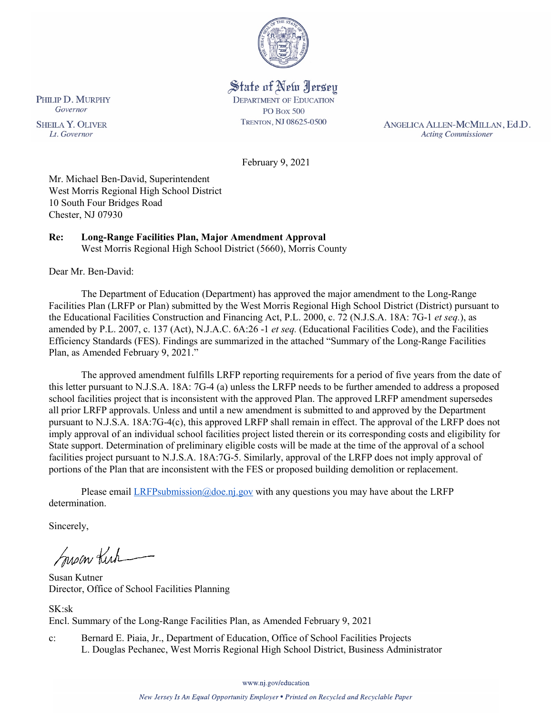

State of New Jersey **DEPARTMENT OF EDUCATION PO Box 500** TRENTON, NJ 08625-0500

ANGELICA ALLEN-MCMILLAN, Ed.D. **Acting Commissioner** 

February 9, 2021

Mr. Michael Ben-David, Superintendent West Morris Regional High School District 10 South Four Bridges Road Chester, NJ 07930

#### **Re: Long-Range Facilities Plan, Major Amendment Approval**  West Morris Regional High School District (5660), Morris County

Dear Mr. Ben-David:

The Department of Education (Department) has approved the major amendment to the Long-Range Facilities Plan (LRFP or Plan) submitted by the West Morris Regional High School District (District) pursuant to the Educational Facilities Construction and Financing Act, P.L. 2000, c. 72 (N.J.S.A. 18A: 7G-1 *et seq.*), as amended by P.L. 2007, c. 137 (Act), N.J.A.C. 6A:26 -1 *et seq.* (Educational Facilities Code), and the Facilities Efficiency Standards (FES). Findings are summarized in the attached "Summary of the Long-Range Facilities Plan, as Amended February 9, 2021."

The approved amendment fulfills LRFP reporting requirements for a period of five years from the date of this letter pursuant to N.J.S.A. 18A: 7G-4 (a) unless the LRFP needs to be further amended to address a proposed school facilities project that is inconsistent with the approved Plan. The approved LRFP amendment supersedes all prior LRFP approvals. Unless and until a new amendment is submitted to and approved by the Department pursuant to N.J.S.A. 18A:7G-4(c), this approved LRFP shall remain in effect. The approval of the LRFP does not imply approval of an individual school facilities project listed therein or its corresponding costs and eligibility for State support. Determination of preliminary eligible costs will be made at the time of the approval of a school facilities project pursuant to N.J.S.A. 18A:7G-5. Similarly, approval of the LRFP does not imply approval of portions of the Plan that are inconsistent with the FES or proposed building demolition or replacement.

Please email  $LRFP submission@doe.nj.gov$  with any questions you may have about the LRFP determination.

Sincerely,

Susan Kich

Susan Kutner Director, Office of School Facilities Planning

SK:sk Encl. Summary of the Long-Range Facilities Plan, as Amended February 9, 2021

c: Bernard E. Piaia, Jr., Department of Education, Office of School Facilities Projects L. Douglas Pechanec, West Morris Regional High School District, Business Administrator

www.nj.gov/education

New Jersey Is An Equal Opportunity Employer . Printed on Recycled and Recyclable Paper

PHILIP D. MURPHY Governor

**SHEILA Y. OLIVER** Lt. Governor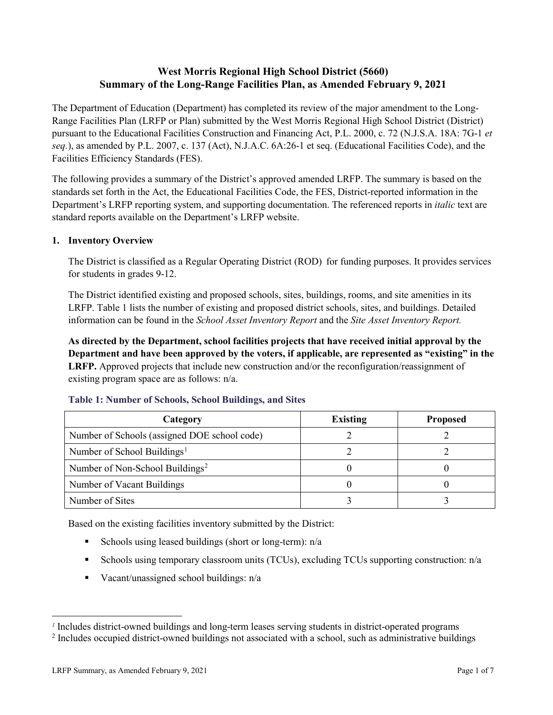# **West Morris Regional High School District (5660) Summary of the Long-Range Facilities Plan, as Amended February 9, 2021**

The Department of Education (Department) has completed its review of the major amendment to the Long-Range Facilities Plan (LRFP or Plan) submitted by the West Morris Regional High School District (District) pursuant to the Educational Facilities Construction and Financing Act, P.L. 2000, c. 72 (N.J.S.A. 18A: 7G-1 *et seq.*), as amended by P.L. 2007, c. 137 (Act), N.J.A.C. 6A:26-1 et seq. (Educational Facilities Code), and the Facilities Efficiency Standards (FES).

The following provides a summary of the District's approved amended LRFP. The summary is based on the standards set forth in the Act, the Educational Facilities Code, the FES, District-reported information in the Department's LRFP reporting system, and supporting documentation. The referenced reports in *italic* text are standard reports available on the Department's LRFP website.

## **1. Inventory Overview**

The District is classified as a Regular Operating District (ROD) for funding purposes. It provides services for students in grades 9-12.

The District identified existing and proposed schools, sites, buildings, rooms, and site amenities in its LRFP. Table 1 lists the number of existing and proposed district schools, sites, and buildings. Detailed information can be found in the *School Asset Inventory Report* and the *Site Asset Inventory Report.* 

**As directed by the Department, school facilities projects that have received initial approval by the Department and have been approved by the voters, if applicable, are represented as "existing" in the LRFP.** Approved projects that include new construction and/or the reconfiguration/reassignment of existing program space are as follows: n/a.

| Category                                     | <b>Existing</b> | <b>Proposed</b> |
|----------------------------------------------|-----------------|-----------------|
| Number of Schools (assigned DOE school code) |                 |                 |
| Number of School Buildings <sup>1</sup>      |                 |                 |
| Number of Non-School Buildings <sup>2</sup>  |                 |                 |
| Number of Vacant Buildings                   |                 |                 |
| Number of Sites                              |                 |                 |

## **Table 1: Number of Schools, School Buildings, and Sites**

Based on the existing facilities inventory submitted by the District:

- Schools using leased buildings (short or long-term):  $n/a$
- Schools using temporary classroom units (TCUs), excluding TCUs supporting construction: n/a
- Vacant/unassigned school buildings:  $n/a$

 $\overline{a}$ 

<span id="page-1-1"></span><span id="page-1-0"></span>*<sup>1</sup>* Includes district-owned buildings and long-term leases serving students in district-operated programs

<sup>&</sup>lt;sup>2</sup> Includes occupied district-owned buildings not associated with a school, such as administrative buildings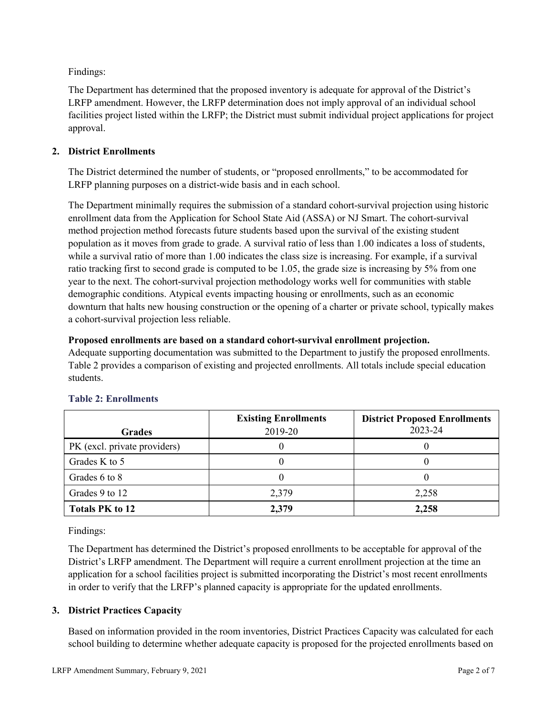Findings:

The Department has determined that the proposed inventory is adequate for approval of the District's LRFP amendment. However, the LRFP determination does not imply approval of an individual school facilities project listed within the LRFP; the District must submit individual project applications for project approval.

## **2. District Enrollments**

The District determined the number of students, or "proposed enrollments," to be accommodated for LRFP planning purposes on a district-wide basis and in each school.

The Department minimally requires the submission of a standard cohort-survival projection using historic enrollment data from the Application for School State Aid (ASSA) or NJ Smart. The cohort-survival method projection method forecasts future students based upon the survival of the existing student population as it moves from grade to grade. A survival ratio of less than 1.00 indicates a loss of students, while a survival ratio of more than 1.00 indicates the class size is increasing. For example, if a survival ratio tracking first to second grade is computed to be 1.05, the grade size is increasing by 5% from one year to the next. The cohort-survival projection methodology works well for communities with stable demographic conditions. Atypical events impacting housing or enrollments, such as an economic downturn that halts new housing construction or the opening of a charter or private school, typically makes a cohort-survival projection less reliable.

## **Proposed enrollments are based on a standard cohort-survival enrollment projection.**

Adequate supporting documentation was submitted to the Department to justify the proposed enrollments. Table 2 provides a comparison of existing and projected enrollments. All totals include special education students.

|                              | <b>Existing Enrollments</b> | <b>District Proposed Enrollments</b> |
|------------------------------|-----------------------------|--------------------------------------|
| <b>Grades</b>                | 2019-20                     | 2023-24                              |
| PK (excl. private providers) |                             |                                      |
| Grades K to 5                |                             |                                      |
| Grades 6 to 8                |                             |                                      |
| Grades 9 to 12               | 2,379                       | 2,258                                |
| <b>Totals PK to 12</b>       | 2,379                       | 2,258                                |

# **Table 2: Enrollments**

Findings:

The Department has determined the District's proposed enrollments to be acceptable for approval of the District's LRFP amendment. The Department will require a current enrollment projection at the time an application for a school facilities project is submitted incorporating the District's most recent enrollments in order to verify that the LRFP's planned capacity is appropriate for the updated enrollments.

# **3. District Practices Capacity**

Based on information provided in the room inventories, District Practices Capacity was calculated for each school building to determine whether adequate capacity is proposed for the projected enrollments based on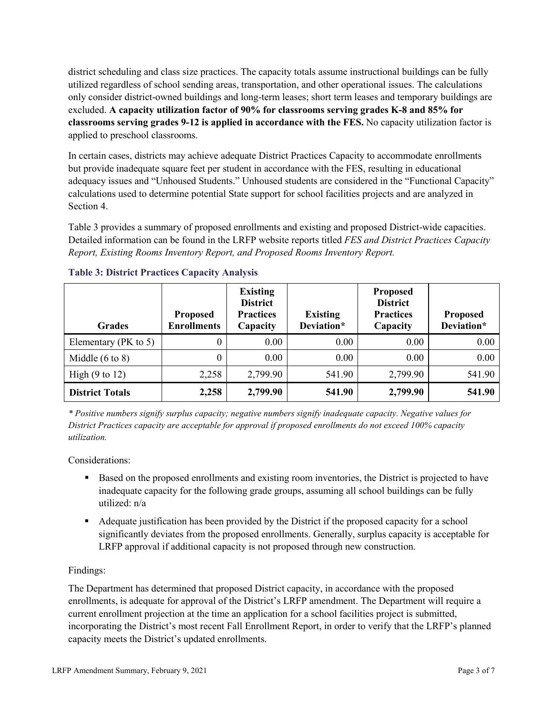district scheduling and class size practices. The capacity totals assume instructional buildings can be fully utilized regardless of school sending areas, transportation, and other operational issues. The calculations only consider district-owned buildings and long-term leases; short term leases and temporary buildings are excluded. **A capacity utilization factor of 90% for classrooms serving grades K-8 and 85% for classrooms serving grades 9-12 is applied in accordance with the FES.** No capacity utilization factor is applied to preschool classrooms.

In certain cases, districts may achieve adequate District Practices Capacity to accommodate enrollments but provide inadequate square feet per student in accordance with the FES, resulting in educational adequacy issues and "Unhoused Students." Unhoused students are considered in the "Functional Capacity" calculations used to determine potential State support for school facilities projects and are analyzed in Section 4.

Table 3 provides a summary of proposed enrollments and existing and proposed District-wide capacities. Detailed information can be found in the LRFP website reports titled *FES and District Practices Capacity Report, Existing Rooms Inventory Report, and Proposed Rooms Inventory Report.*

| <b>Grades</b>              | <b>Proposed</b><br><b>Enrollments</b> | <b>Existing</b><br><b>District</b><br><b>Practices</b><br>Capacity | <b>Existing</b><br>Deviation* | <b>Proposed</b><br><b>District</b><br><b>Practices</b><br>Capacity | <b>Proposed</b><br>Deviation* |
|----------------------------|---------------------------------------|--------------------------------------------------------------------|-------------------------------|--------------------------------------------------------------------|-------------------------------|
| Elementary ( $PK$ to 5)    | 0                                     | 0.00                                                               | 0.00                          | 0.00                                                               | 0.00                          |
| Middle $(6 \text{ to } 8)$ | 0                                     | 0.00                                                               | 0.00                          | 0.00                                                               | 0.00                          |
| High $(9 \text{ to } 12)$  | 2,258                                 | 2,799.90                                                           | 541.90                        | 2,799.90                                                           | 541.90                        |
| <b>District Totals</b>     | 2,258                                 | 2,799.90                                                           | 541.90                        | 2,799.90                                                           | 541.90                        |

## **Table 3: District Practices Capacity Analysis**

*\* Positive numbers signify surplus capacity; negative numbers signify inadequate capacity. Negative values for District Practices capacity are acceptable for approval if proposed enrollments do not exceed 100% capacity utilization.*

Considerations:

- Based on the proposed enrollments and existing room inventories, the District is projected to have inadequate capacity for the following grade groups, assuming all school buildings can be fully utilized: n/a
- Adequate justification has been provided by the District if the proposed capacity for a school significantly deviates from the proposed enrollments. Generally, surplus capacity is acceptable for LRFP approval if additional capacity is not proposed through new construction.

## Findings:

The Department has determined that proposed District capacity, in accordance with the proposed enrollments, is adequate for approval of the District's LRFP amendment. The Department will require a current enrollment projection at the time an application for a school facilities project is submitted, incorporating the District's most recent Fall Enrollment Report, in order to verify that the LRFP's planned capacity meets the District's updated enrollments.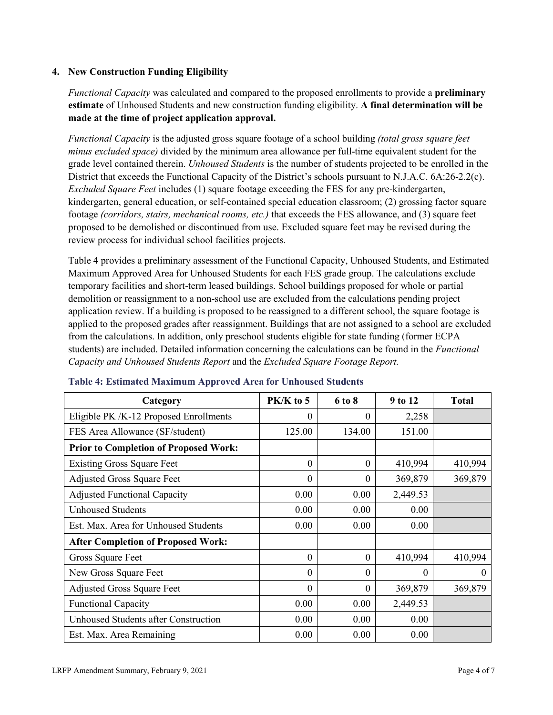## **4. New Construction Funding Eligibility**

*Functional Capacity* was calculated and compared to the proposed enrollments to provide a **preliminary estimate** of Unhoused Students and new construction funding eligibility. **A final determination will be made at the time of project application approval.**

*Functional Capacity* is the adjusted gross square footage of a school building *(total gross square feet minus excluded space)* divided by the minimum area allowance per full-time equivalent student for the grade level contained therein. *Unhoused Students* is the number of students projected to be enrolled in the District that exceeds the Functional Capacity of the District's schools pursuant to N.J.A.C. 6A:26-2.2(c). *Excluded Square Feet* includes (1) square footage exceeding the FES for any pre-kindergarten, kindergarten, general education, or self-contained special education classroom; (2) grossing factor square footage *(corridors, stairs, mechanical rooms, etc.)* that exceeds the FES allowance, and (3) square feet proposed to be demolished or discontinued from use. Excluded square feet may be revised during the review process for individual school facilities projects.

Table 4 provides a preliminary assessment of the Functional Capacity, Unhoused Students, and Estimated Maximum Approved Area for Unhoused Students for each FES grade group. The calculations exclude temporary facilities and short-term leased buildings. School buildings proposed for whole or partial demolition or reassignment to a non-school use are excluded from the calculations pending project application review. If a building is proposed to be reassigned to a different school, the square footage is applied to the proposed grades after reassignment. Buildings that are not assigned to a school are excluded from the calculations. In addition, only preschool students eligible for state funding (former ECPA students) are included. Detailed information concerning the calculations can be found in the *Functional Capacity and Unhoused Students Report* and the *Excluded Square Footage Report.*

| Category                                     | PK/K to 5        | 6 to 8   | 9 to 12  | <b>Total</b> |
|----------------------------------------------|------------------|----------|----------|--------------|
| Eligible PK /K-12 Proposed Enrollments       | 0                | 0        | 2,258    |              |
| FES Area Allowance (SF/student)              | 125.00           | 134.00   | 151.00   |              |
| <b>Prior to Completion of Proposed Work:</b> |                  |          |          |              |
| <b>Existing Gross Square Feet</b>            | $\theta$         | $\theta$ | 410,994  | 410,994      |
| <b>Adjusted Gross Square Feet</b>            | $\boldsymbol{0}$ | $\theta$ | 369,879  | 369,879      |
| <b>Adjusted Functional Capacity</b>          | 0.00             | 0.00     | 2,449.53 |              |
| <b>Unhoused Students</b>                     | 0.00             | 0.00     | 0.00     |              |
| Est. Max. Area for Unhoused Students         | 0.00             | 0.00     | 0.00     |              |
| <b>After Completion of Proposed Work:</b>    |                  |          |          |              |
| Gross Square Feet                            | $\theta$         | $\theta$ | 410,994  | 410,994      |
| New Gross Square Feet                        | $\theta$         | $\Omega$ | $\theta$ | $\Omega$     |
| <b>Adjusted Gross Square Feet</b>            | $\Omega$         | $\Omega$ | 369,879  | 369,879      |
| <b>Functional Capacity</b>                   | 0.00             | 0.00     | 2,449.53 |              |
| <b>Unhoused Students after Construction</b>  | 0.00             | 0.00     | 0.00     |              |
| Est. Max. Area Remaining                     | 0.00             | 0.00     | 0.00     |              |

#### **Table 4: Estimated Maximum Approved Area for Unhoused Students**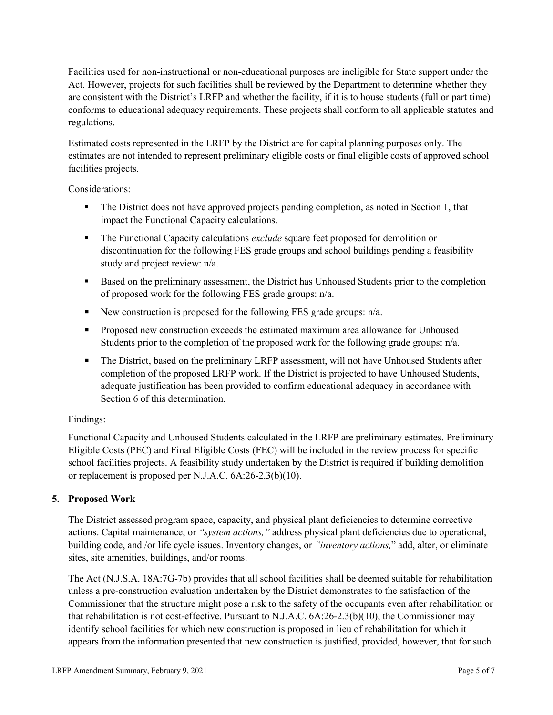Facilities used for non-instructional or non-educational purposes are ineligible for State support under the Act. However, projects for such facilities shall be reviewed by the Department to determine whether they are consistent with the District's LRFP and whether the facility, if it is to house students (full or part time) conforms to educational adequacy requirements. These projects shall conform to all applicable statutes and regulations.

Estimated costs represented in the LRFP by the District are for capital planning purposes only. The estimates are not intended to represent preliminary eligible costs or final eligible costs of approved school facilities projects.

Considerations:

- The District does not have approved projects pending completion, as noted in Section 1, that impact the Functional Capacity calculations.
- **The Functional Capacity calculations** *exclude* square feet proposed for demolition or discontinuation for the following FES grade groups and school buildings pending a feasibility study and project review: n/a.
- Based on the preliminary assessment, the District has Unhoused Students prior to the completion of proposed work for the following FES grade groups: n/a.
- New construction is proposed for the following FES grade groups: n/a.
- Proposed new construction exceeds the estimated maximum area allowance for Unhoused Students prior to the completion of the proposed work for the following grade groups: n/a.
- The District, based on the preliminary LRFP assessment, will not have Unhoused Students after completion of the proposed LRFP work. If the District is projected to have Unhoused Students, adequate justification has been provided to confirm educational adequacy in accordance with Section 6 of this determination.

## Findings:

Functional Capacity and Unhoused Students calculated in the LRFP are preliminary estimates. Preliminary Eligible Costs (PEC) and Final Eligible Costs (FEC) will be included in the review process for specific school facilities projects. A feasibility study undertaken by the District is required if building demolition or replacement is proposed per N.J.A.C. 6A:26-2.3(b)(10).

## **5. Proposed Work**

The District assessed program space, capacity, and physical plant deficiencies to determine corrective actions. Capital maintenance, or *"system actions,"* address physical plant deficiencies due to operational, building code, and /or life cycle issues. Inventory changes, or *"inventory actions,*" add, alter, or eliminate sites, site amenities, buildings, and/or rooms.

The Act (N.J.S.A. 18A:7G-7b) provides that all school facilities shall be deemed suitable for rehabilitation unless a pre-construction evaluation undertaken by the District demonstrates to the satisfaction of the Commissioner that the structure might pose a risk to the safety of the occupants even after rehabilitation or that rehabilitation is not cost-effective. Pursuant to N.J.A.C. 6A:26-2.3(b)(10), the Commissioner may identify school facilities for which new construction is proposed in lieu of rehabilitation for which it appears from the information presented that new construction is justified, provided, however, that for such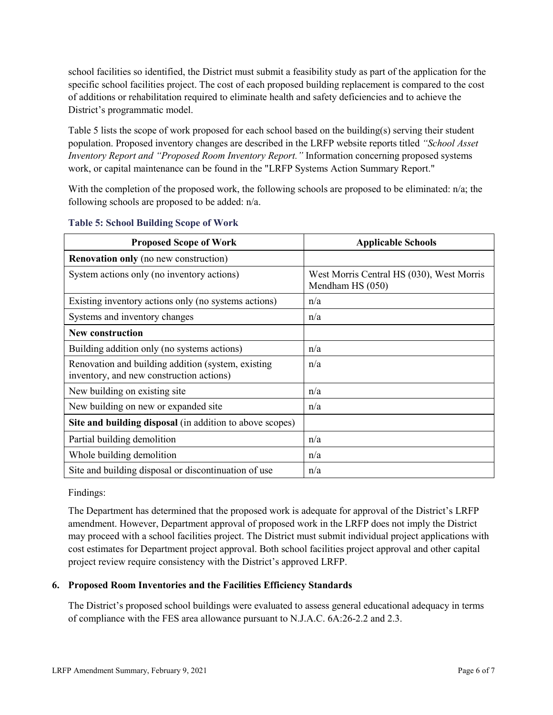school facilities so identified, the District must submit a feasibility study as part of the application for the specific school facilities project. The cost of each proposed building replacement is compared to the cost of additions or rehabilitation required to eliminate health and safety deficiencies and to achieve the District's programmatic model.

Table 5 lists the scope of work proposed for each school based on the building(s) serving their student population. Proposed inventory changes are described in the LRFP website reports titled *"School Asset Inventory Report and "Proposed Room Inventory Report."* Information concerning proposed systems work, or capital maintenance can be found in the "LRFP Systems Action Summary Report."

With the completion of the proposed work, the following schools are proposed to be eliminated:  $n/a$ ; the following schools are proposed to be added: n/a.

| <b>Proposed Scope of Work</b>                                                                  | <b>Applicable Schools</b>                                     |
|------------------------------------------------------------------------------------------------|---------------------------------------------------------------|
| <b>Renovation only</b> (no new construction)                                                   |                                                               |
| System actions only (no inventory actions)                                                     | West Morris Central HS (030), West Morris<br>Mendham HS (050) |
| Existing inventory actions only (no systems actions)                                           | n/a                                                           |
| Systems and inventory changes                                                                  | n/a                                                           |
| <b>New construction</b>                                                                        |                                                               |
| Building addition only (no systems actions)                                                    | n/a                                                           |
| Renovation and building addition (system, existing<br>inventory, and new construction actions) | n/a                                                           |
| New building on existing site                                                                  | n/a                                                           |
| New building on new or expanded site                                                           | n/a                                                           |
| Site and building disposal (in addition to above scopes)                                       |                                                               |
| Partial building demolition                                                                    | n/a                                                           |
| Whole building demolition                                                                      | n/a                                                           |
| Site and building disposal or discontinuation of use                                           | n/a                                                           |

#### **Table 5: School Building Scope of Work**

Findings:

The Department has determined that the proposed work is adequate for approval of the District's LRFP amendment. However, Department approval of proposed work in the LRFP does not imply the District may proceed with a school facilities project. The District must submit individual project applications with cost estimates for Department project approval. Both school facilities project approval and other capital project review require consistency with the District's approved LRFP.

## **6. Proposed Room Inventories and the Facilities Efficiency Standards**

The District's proposed school buildings were evaluated to assess general educational adequacy in terms of compliance with the FES area allowance pursuant to N.J.A.C. 6A:26-2.2 and 2.3.